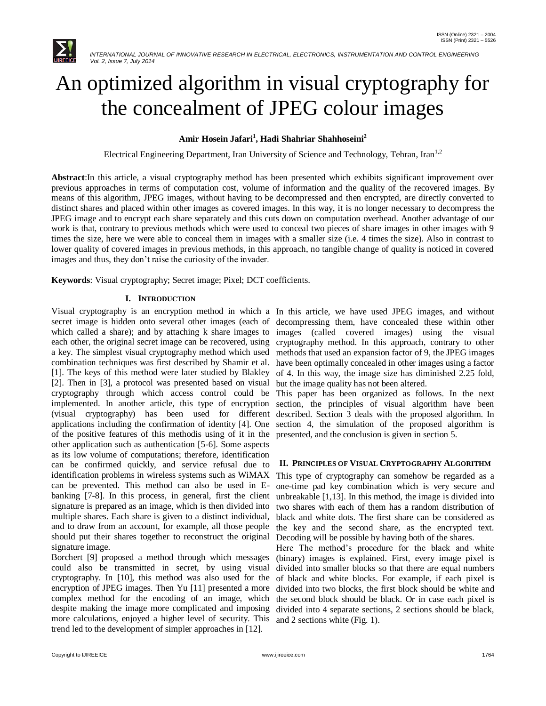

# An optimized algorithm in visual cryptography for the concealment of JPEG colour images

# **Amir Hosein Jafari<sup>1</sup> , Hadi Shahriar Shahhoseini<sup>2</sup>**

Electrical Engineering Department, Iran University of Science and Technology, Tehran, Iran<sup>1,2</sup>

**Abstract**:In this article, a visual cryptography method has been presented which exhibits significant improvement over previous approaches in terms of computation cost, volume of information and the quality of the recovered images. By means of this algorithm, JPEG images, without having to be decompressed and then encrypted, are directly converted to distinct shares and placed within other images as covered images. In this way, it is no longer necessary to decompress the JPEG image and to encrypt each share separately and this cuts down on computation overhead. Another advantage of our work is that, contrary to previous methods which were used to conceal two pieces of share images in other images with 9 times the size, here we were able to conceal them in images with a smaller size (i.e. 4 times the size). Also in contrast to lower quality of covered images in previous methods, in this approach, no tangible change of quality is noticed in covered images and thus, they don't raise the curiosity of the invader.

**Keywords**: Visual cryptography; Secret image; Pixel; DCT coefficients.

## **I. INTRODUCTION**

secret image is hidden onto several other images (each of decompressing them, have concealed these within other which called a share); and by attaching k share images to images each other, the original secret image can be recovered, using cryptography method. In this approach, contrary to other a key. The simplest visual cryptography method which used combination techniques was first described by Shamir et al. [1]. The keys of this method were later studied by Blakley [2]. Then in [3], a protocol was presented based on visual cryptography through which access control could be implemented. In another article, this type of encryption (visual cryptography) has been used for different applications including the confirmation of identity [4]. One section 4, the simulation of the proposed algorithm is of the positive features of this methodis using of it in the presented, and the conclusion is given in section 5. other application such as authentication [5-6]. Some aspects as its low volume of computations; therefore, identification can be confirmed quickly, and service refusal due to identification problems in wireless systems such as WiMAX can be prevented. This method can also be used in Ebanking [7-8]. In this process, in general, first the client signature is prepared as an image, which is then divided into multiple shares. Each share is given to a distinct individual, and to draw from an account, for example, all those people should put their shares together to reconstruct the original signature image.

Borchert [9] proposed a method through which messages could also be transmitted in secret, by using visual cryptography. In [10], this method was also used for the encryption of JPEG images. Then Yu [11] presented a more complex method for the encoding of an image, which despite making the image more complicated and imposing more calculations, enjoyed a higher level of security. This and 2 sections white (Fig. 1).trend led to the development of simpler approaches in [12].

Visual cryptography is an encryption method in which a In this article, we have used JPEG images, and without (called covered images) using the visual methods that used an expansion factor of 9, the JPEG images have been optimally concealed in other images using a factor of 4. In this way, the image size has diminished 2.25 fold, but the image quality has not been altered.

This paper has been organized as follows. In the next section, the principles of visual algorithm have been described. Section 3 deals with the proposed algorithm. In

## **II. PRINCIPLES OF VISUAL CRYPTOGRAPHY ALGORITHM**

This type of cryptography can somehow be regarded as a one-time pad key combination which is very secure and unbreakable [1,13]. In this method, the image is divided into two shares with each of them has a random distribution of black and white dots. The first share can be considered as the key and the second share, as the encrypted text. Decoding will be possible by having both of the shares.

Here The method's procedure for the black and white (binary) images is explained. First, every image pixel is divided into smaller blocks so that there are equal numbers of black and white blocks. For example, if each pixel is divided into two blocks, the first block should be white and the second block should be black. Or in case each pixel is divided into 4 separate sections, 2 sections should be black,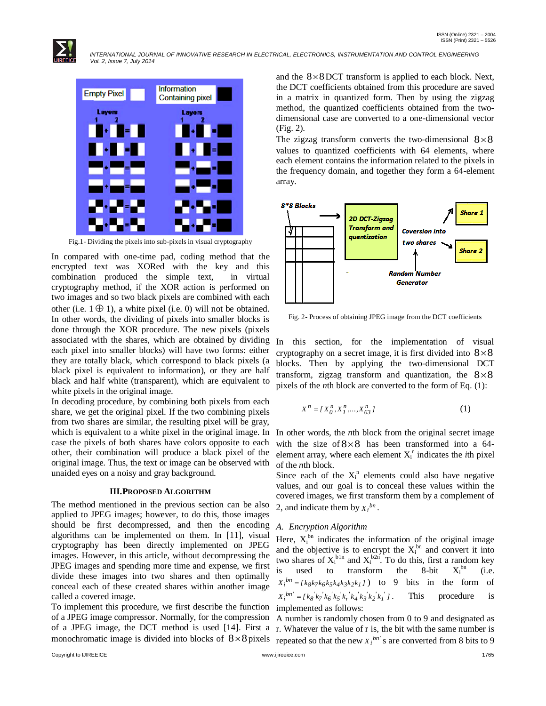

 *INTERNATIONAL JOURNAL OF INNOVATIVE RESEARCH IN ELECTRICAL, ELECTRONICS, INSTRUMENTATION AND CONTROL ENGINEERING Vol. 2, Issue 7, July 2014*



Fig.1- Dividing the pixels into sub-pixels in visual cryptography

In compared with one-time pad, coding method that the encrypted text was XORed with the key and this combination produced the simple text, in virtual cryptography method, if the XOR action is performed on two images and so two black pixels are combined with each other (i.e.  $1 \oplus 1$ ), a white pixel (i.e. 0) will not be obtained. In other words, the dividing of pixels into smaller blocks is done through the XOR procedure. The new pixels (pixels associated with the shares, which are obtained by dividing each pixel into smaller blocks) will have two forms: either they are totally black, which correspond to black pixels (a black pixel is equivalent to information), or they are half black and half white (transparent), which are equivalent to white pixels in the original image.

In decoding procedure, by combining both pixels from each share, we get the original pixel. If the two combining pixels from two shares are similar, the resulting pixel will be gray, which is equivalent to a white pixel in the original image. In case the pixels of both shares have colors opposite to each other, their combination will produce a black pixel of the original image. Thus, the text or image can be observed with unaided eyes on a noisy and gray background.

#### **III.PROPOSED ALGORITHM**

The method mentioned in the previous section can be also applied to JPEG images; however, to do this, those images should be first decompressed, and then the encoding algorithms can be implemented on them. In [11], visual cryptography has been directly implemented on JPEG images. However, in this article, without decompressing the JPEG images and spending more time and expense, we first divide these images into two shares and then optimally conceal each of these created shares within another image called a covered image.

To implement this procedure, we first describe the function of a JPEG image compressor. Normally, for the compression of a JPEG image, the DCT method is used [14]. First a monochromatic image is divided into blocks of  $8 \times 8$  pixels

and the  $8 \times 8$  DCT transform is applied to each block. Next, the DCT coefficients obtained from this procedure are saved in a matrix in quantized form. Then by using the zigzag method, the quantized coefficients obtained from the twodimensional case are converted to a one-dimensional vector (Fig. 2).

The zigzag transform converts the two-dimensional  $8 \times 8$ values to quantized coefficients with 64 elements, where each element contains the information related to the pixels in the frequency domain, and together they form a 64-element array.



Fig. 2- Process of obtaining JPEG image from the DCT coefficients

In this section, for the implementation of visual cryptography on a secret image, it is first divided into  $8 \times 8$ blocks. Then by applying the two-dimensional DCT transform, zigzag transform and quantization, the  $8 \times 8$ pixels of the *n*th block are converted to the form of Eq. (1):

$$
X^n = \{ X_0^n, X_1^n, \dots, X_{63}^n \}
$$
 (1)

In other words, the *n*th block from the original secret image with the size of  $8 \times 8$  has been transformed into a 64element array, where each element  $X_i^n$  indicates the *i*th pixel of the *n*th block.

Since each of the  $X_i^n$  elements could also have negative values, and our goal is to conceal these values within the covered images, we first transform them by a complement of 2, and indicate them by  $X_i^{bn}$ .

## *A. Encryption Algorithm*

Here,  $X_i^{\text{bn}}$  indicates the information of the original image and the objective is to encrypt the  $X_i^{bn}$  and convert it into two shares of  $X_i^{\text{bln}}$  and  $X_i^{\text{b2n}}$ . To do this, first a random key is used to transform the 8-bit  $X_i^{bn}$  $(i.e.$  $X_i^{bn} = [k_8k_7k_6k_5k_4k_3k_2k_1]$ bits in the form of  $X_i^{bn'} = [k_8'k_7'k_6'k_5'k_r'k_4'k_3'k_2'k_1']$ . This procedure is implemented as follows:

A number is randomly chosen from 0 to 9 and designated as r. Whatever the value of r is, the bit with the same number is repeated so that the new  $X_i^{bn'}$  s are converted from 8 bits to 9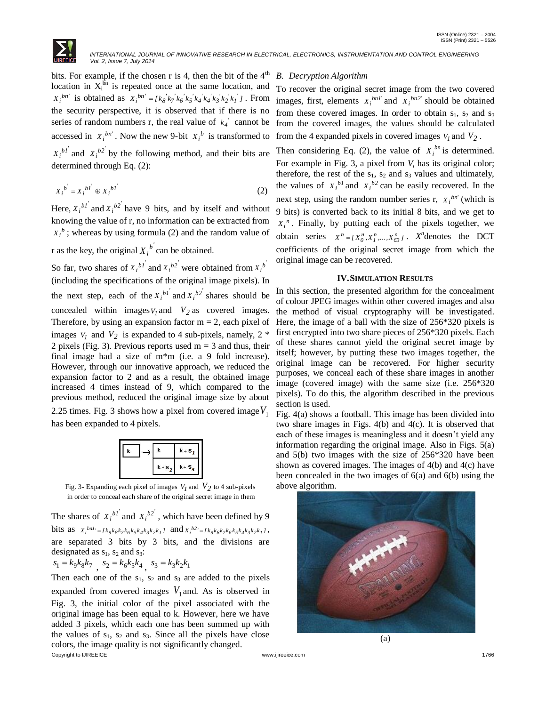

bits. For example, if the chosen r is 4, then the bit of the  $4<sup>th</sup>$ location in  $X_i^{6n}$  is repeated once at the same location, and  $X_i^{bn'}$  is obtained as  $X_i^{bn'} = [k_8 k_7 k_6 k_5 k_4 k_4 k_3 k_2 k_1]$ . From the security perspective, it is observed that if there is no series of random numbers r, the real value of  $k_4$ <sup>'</sup> cannot be accessed in  $X_i^{bn'}$ . Now the new 9-bit  $X_i^b$  is transformed to  $X_i^{b1'}$  and  $X_i^{b2'}$  by the following method, and their bits are determined through Eq. (2):

$$
X_i^{b'} = X_i^{b'} \oplus X_i^{b'} \tag{2}
$$

Here,  $X_i^{b1'}$  and  $X_i^{b2'}$  have 9 bits, and by itself and without knowing the value of r, no information can be extracted from  $X_i^b$ ; whereas by using formula (2) and the random value of

r as the key, the original  $X_i^{b'}$  can be obtained.

So far, two shares of  $X_i^{b1'}$  and  $X_i^{b2'}$  were obtained from  $X_i^b$ (including the specifications of the original image pixels). In the next step, each of the  $X_i^{b1'}$  and  $X_i^{b2'}$  shares should be concealed within images  $V_I$  and  $V_2$  as covered images. Therefore, by using an expansion factor  $m = 2$ , each pixel of images  $V_1$  and  $V_2$  is expanded to 4 sub-pixels, namely, 2  $*$ 2 pixels (Fig. 3). Previous reports used  $m = 3$  and thus, their final image had a size of m\*m (i.e. a 9 fold increase). However, through our innovative approach, we reduced the expansion factor to 2 and as a result, the obtained image increased 4 times instead of 9, which compared to the previous method, reduced the original image size by about 2.25 times. Fig. 3 shows how a pixel from covered image  $V_1$ has been expanded to 4 pixels.

|           | $k - S_1$ |
|-----------|-----------|
| $k + S$ . | $k + S_2$ |

Fig. 3- Expanding each pixel of images  $V_I$  and  $V_2$  to 4 sub-pixels in order to conceal each share of the original secret image in them

The shares of  $X_i^{b1'}$  and  $X_i^{b2'}$ , which have been defined by 9 bits as  $x_i^{bnl} = [k_9k_8k_7k_6k_5k_4k_3k_2k_1]$  and  $x_i^{b2} = [k_9k_8k_7k_6k_5k_4k_3k_2k_1]$ , are separated 3 bits by 3 bits, and the divisions are designated as  $s_1$ ,  $s_2$  and  $s_3$ :

$$
s_1 = k_9 k_8 k_7 \, , \; s_2 = k_6 k_5 k_4 \, , \; s_3 = k_3 k_2 k_1
$$

Copyright to IJIREEICE [www.ijireeice.com](http://www.ijireeice.com/) 1766 Then each one of the  $s_1$ ,  $s_2$  and  $s_3$  are added to the pixels expanded from covered images  $V_1$  and. As is observed in Fig. 3, the initial color of the pixel associated with the original image has been equal to k. However, here we have added 3 pixels, which each one has been summed up with the values of  $s_1$ ,  $s_2$  and  $s_3$ . Since all the pixels have close colors, the image quality is not significantly changed.

## *B. Decryption Algorithm*

To recover the original secret image from the two covered images, first, elements  $X_i^{bn1'}$  and  $X_i^{bn2'}$  should be obtained from these covered images. In order to obtain  $s_1$ ,  $s_2$  and  $s_3$ from the covered images, the values should be calculated from the 4 expanded pixels in covered images  $V_I$  and  $V_2$ .

Then considering Eq. (2), the value of  $X_i^{bn}$  is determined. For example in Fig. 3, a pixel from  $V_i$  has its original color; therefore, the rest of the  $s_1$ ,  $s_2$  and  $s_3$  values and ultimately, the values of  $X_i^{b1}$  and  $X_i^{b2}$  can be easily recovered. In the next step, using the random number series r,  $X_i^{bn'}$  (which is 9 bits) is converted back to its initial 8 bits, and we get to  $X_i^n$ . Finally, by putting each of the pixels together, we obtain series  $X^n = \{X_0^n, X_1^n, \dots, X_{63}^n\}$ . *X*<sup>n</sup>denotes the DCT coefficients of the original secret image from which the original image can be recovered.

#### **IV.SIMULATION RESULTS**

In this section, the presented algorithm for the concealment of colour JPEG images within other covered images and also the method of visual cryptography will be investigated. Here, the image of a ball with the size of 256\*320 pixels is first encrypted into two share pieces of 256\*320 pixels. Each of these shares cannot yield the original secret image by itself; however, by putting these two images together, the original image can be recovered. For higher security purposes, we conceal each of these share images in another image (covered image) with the same size (i.e. 256\*320 pixels). To do this, the algorithm described in the previous section is used.

Fig. 4(a) shows a football. This image has been divided into two share images in Figs. 4(b) and 4(c). It is observed that each of these images is meaningless and it doesn't yield any information regarding the original image. Also in Figs. 5(a) and 5(b) two images with the size of 256\*320 have been shown as covered images. The images of 4(b) and 4(c) have been concealed in the two images of 6(a) and 6(b) using the above algorithm.

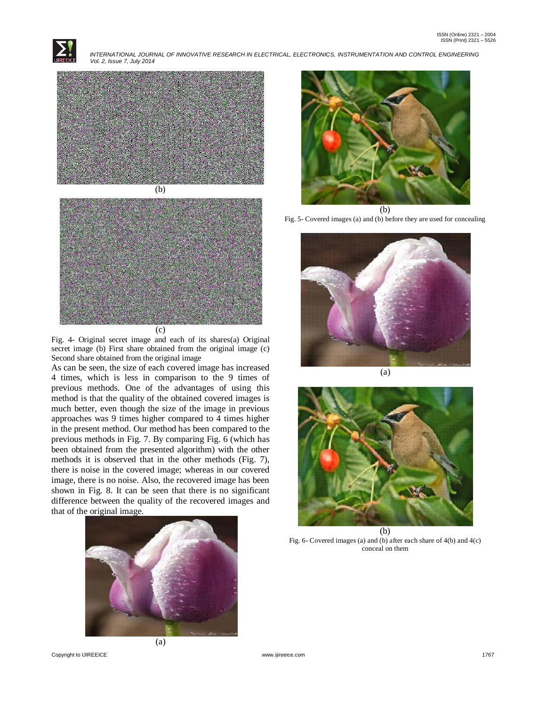

 *INTERNATIONAL JOURNAL OF INNOVATIVE RESEARCH IN ELECTRICAL, ELECTRONICS, INSTRUMENTATION AND CONTROL ENGINEERING Vol. 2, Issue 7, July 2014*





Fig. 4- Original secret image and each of its shares(a) Original secret image (b) First share obtained from the original image (c) Second share obtained from the original image

As can be seen, the size of each covered image has increased 4 times, which is less in comparison to the 9 times of previous methods. One of the advantages of using this method is that the quality of the obtained covered images is much better, even though the size of the image in previous approaches was 9 times higher compared to 4 times higher in the present method. Our method has been compared to the previous methods in Fig. 7. By comparing Fig. 6 (which has been obtained from the presented algorithm) with the other methods it is observed that in the other methods (Fig. 7), there is noise in the covered image; whereas in our covered image, there is no noise. Also, the recovered image has been shown in Fig. 8. It can be seen that there is no significant difference between the quality of the recovered images and that of the original image.





(b) Fig. 5- Covered images (a) and (b) before they are used for concealing





Fig. 6- Covered images (a) and (b) after each share of 4(b) and 4(c) conceal on them